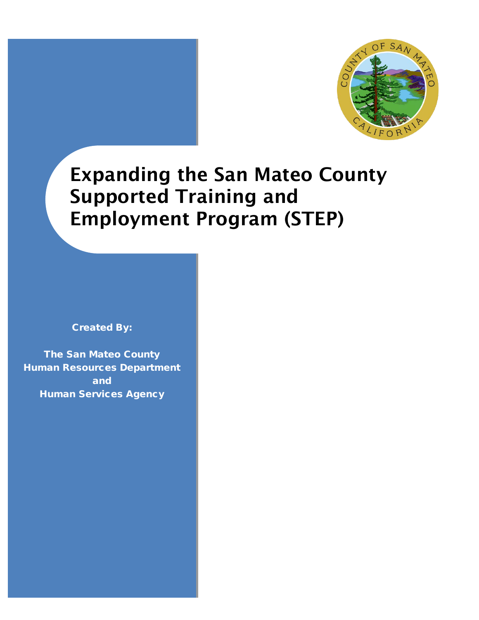



# Expanding the San Mateo County Supported Training and Employment Program (STEP)

Created By:

The San Mateo County Human Resources Department and Human Services Agency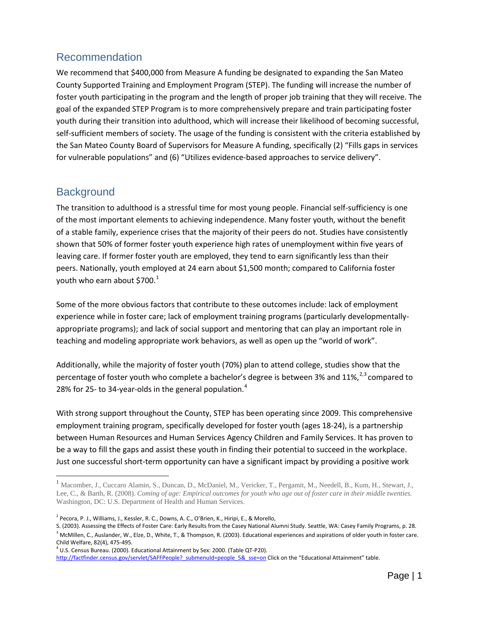## Recommendation

We recommend that \$400,000 from Measure A funding be designated to expanding the San Mateo County Supported Training and Employment Program (STEP). The funding will increase the number of foster youth participating in the program and the length of proper job training that they will receive. The goal of the expanded STEP Program is to more comprehensively prepare and train participating foster youth during their transition into adulthood, which will increase their likelihood of becoming successful, self-sufficient members of society. The usage of the funding is consistent with the criteria established by the San Mateo County Board of Supervisors for Measure A funding, specifically (2) "Fills gaps in services for vulnerable populations" and (6) "Utilizes evidence-based approaches to service delivery".

### **Background**

 $\overline{a}$ 

The transition to adulthood is a stressful time for most young people. Financial self-sufficiency is one of the most important elements to achieving independence. Many foster youth, without the benefit of a stable family, experience crises that the majority of their peers do not. Studies have consistently shown that 50% of former foster youth experience high rates of unemployment within five years of leaving care. If former foster youth are employed, they tend to earn significantly less than their peers. Nationally, youth employed at 24 earn about \$1,500 month; compared to California foster youth who earn about \$700. $^1$  $^1$ 

Some of the more obvious factors that contribute to these outcomes include: lack of employment experience while in foster care; lack of employment training programs (particularly developmentallyappropriate programs); and lack of social support and mentoring that can play an important role in teaching and modeling appropriate work behaviors, as well as open up the "world of work".

Additionally, while the majority of foster youth (70%) plan to attend college, studies show that the percentage of foster youth who complete a bachelor's degree is between [3](#page-1-2)% and 11%,  $23$  $23$  compared to 28% for 25- to 3[4](#page-1-3)-year-olds in the general population.<sup>4</sup>

With strong support throughout the County, STEP has been operating since 2009. This comprehensive employment training program, specifically developed for foster youth (ages 18-24), is a partnership between Human Resources and Human Services Agency Children and Family Services. It has proven to be a way to fill the gaps and assist these youth in finding their potential to succeed in the workplace. Just one successful short-term opportunity can have a significant impact by providing a positive work

<span id="page-1-0"></span><sup>1</sup> Macomber, J., Cuccaro Alamin, S., Duncan, D., McDaniel, M., Vericker, T., Pergamit, M., Needell, B., Kum, H., Stewart, J., Lee, C., & Barth, R. (2008). *Coming of age: Empirical outcomes for youth who age out of foster care in their middle twenties.*  Washington, DC: U.S. Department of Health and Human Services.

<span id="page-1-1"></span><sup>2</sup> Pecora, P. J., Williams, J., Kessler, R. C., Downs, A. C., O'Brien, K., Hiripi, E., & Morello,

<span id="page-1-2"></span>S. (2003). Assessing the Effects of Foster Care: Early Results from the Casey National Alumni Study. Seattle, WA: Casey Family Programs, p. 28. <sup>3</sup> McMillen, C., Auslander, W., Elze, D., White, T., & Thompson, R. (2003). Educational experiences and aspirations of older youth in foster care. Child Welfare, 82(4), 475-495.

<span id="page-1-3"></span> $<sup>4</sup>$  U.S. Census Bureau. (2000). Educational Attainment by Sex: 2000. (Table QT-P20).</sup>

http://factfinder.census.gov/servlet/SAFFPeople? submenuId=people 5& sse=on Click on the "Educational Attainment" table.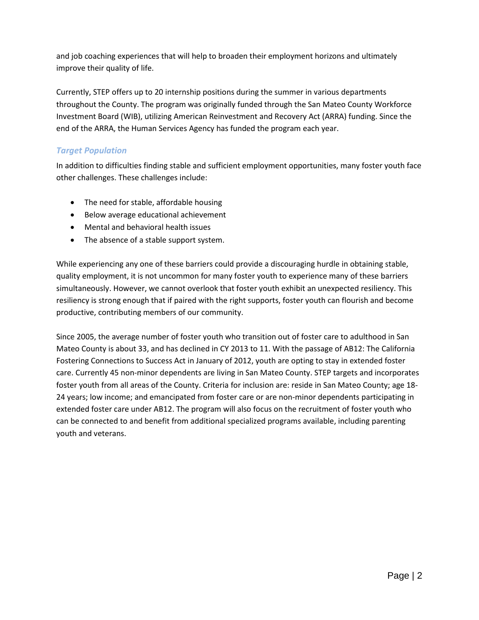and job coaching experiences that will help to broaden their employment horizons and ultimately improve their quality of life.

Currently, STEP offers up to 20 internship positions during the summer in various departments throughout the County. The program was originally funded through the San Mateo County Workforce Investment Board (WIB), utilizing American Reinvestment and Recovery Act (ARRA) funding. Since the end of the ARRA, the Human Services Agency has funded the program each year.

### *Target Population*

In addition to difficulties finding stable and sufficient employment opportunities, many foster youth face other challenges. These challenges include:

- The need for stable, affordable housing
- Below average educational achievement
- Mental and behavioral health issues
- The absence of a stable support system.

While experiencing any one of these barriers could provide a discouraging hurdle in obtaining stable, quality employment, it is not uncommon for many foster youth to experience many of these barriers simultaneously. However, we cannot overlook that foster youth exhibit an unexpected resiliency. This resiliency is strong enough that if paired with the right supports, foster youth can flourish and become productive, contributing members of our community.

Since 2005, the average number of foster youth who transition out of foster care to adulthood in San Mateo County is about 33, and has declined in CY 2013 to 11. With the passage of AB12: The California Fostering Connections to Success Act in January of 2012, youth are opting to stay in extended foster care. Currently 45 non-minor dependents are living in San Mateo County. STEP targets and incorporates foster youth from all areas of the County. Criteria for inclusion are: reside in San Mateo County; age 18- 24 years; low income; and emancipated from foster care or are non-minor dependents participating in extended foster care under AB12. The program will also focus on the recruitment of foster youth who can be connected to and benefit from additional specialized programs available, including parenting youth and veterans.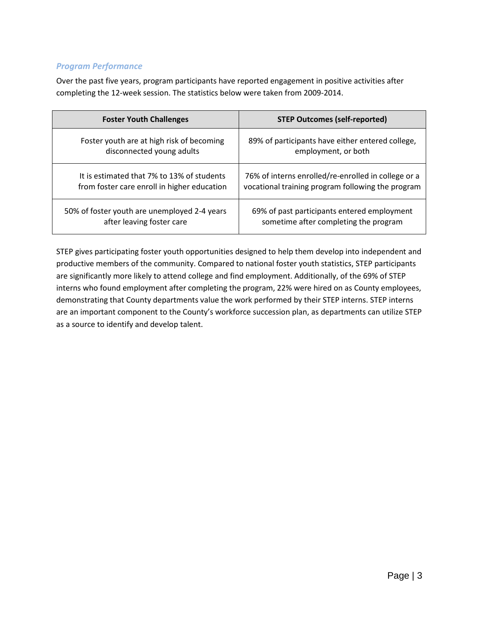### *Program Performance*

Over the past five years, program participants have reported engagement in positive activities after completing the 12-week session. The statistics below were taken from 2009-2014.

| <b>Foster Youth Challenges</b>               | <b>STEP Outcomes (self-reported)</b>                |  |  |
|----------------------------------------------|-----------------------------------------------------|--|--|
| Foster youth are at high risk of becoming    | 89% of participants have either entered college,    |  |  |
| disconnected young adults                    | employment, or both                                 |  |  |
| It is estimated that 7% to 13% of students   | 76% of interns enrolled/re-enrolled in college or a |  |  |
| from foster care enroll in higher education  | vocational training program following the program   |  |  |
| 50% of foster youth are unemployed 2-4 years | 69% of past participants entered employment         |  |  |
| after leaving foster care                    | sometime after completing the program               |  |  |

STEP gives participating foster youth opportunities designed to help them develop into independent and productive members of the community. Compared to national foster youth statistics, STEP participants are significantly more likely to attend college and find employment. Additionally, of the 69% of STEP interns who found employment after completing the program, 22% were hired on as County employees, demonstrating that County departments value the work performed by their STEP interns. STEP interns are an important component to the County's workforce succession plan, as departments can utilize STEP as a source to identify and develop talent.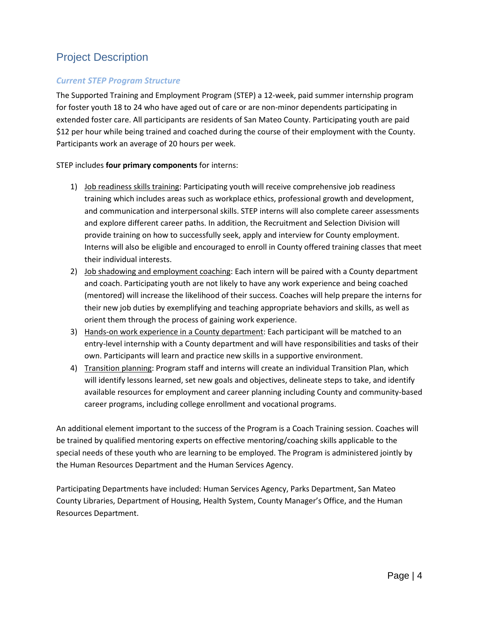# Project Description

### *Current STEP Program Structure*

The Supported Training and Employment Program (STEP) a 12-week, paid summer internship program for foster youth 18 to 24 who have aged out of care or are non-minor dependents participating in extended foster care. All participants are residents of San Mateo County. Participating youth are paid \$12 per hour while being trained and coached during the course of their employment with the County. Participants work an average of 20 hours per week.

#### STEP includes **four primary components** for interns:

- 1) Job readiness skills training: Participating youth will receive comprehensive job readiness training which includes areas such as workplace ethics, professional growth and development, and communication and interpersonal skills. STEP interns will also complete career assessments and explore different career paths. In addition, the Recruitment and Selection Division will provide training on how to successfully seek, apply and interview for County employment. Interns will also be eligible and encouraged to enroll in County offered training classes that meet their individual interests.
- 2) Job shadowing and employment coaching: Each intern will be paired with a County department and coach. Participating youth are not likely to have any work experience and being coached (mentored) will increase the likelihood of their success. Coaches will help prepare the interns for their new job duties by exemplifying and teaching appropriate behaviors and skills, as well as orient them through the process of gaining work experience.
- 3) Hands-on work experience in a County department: Each participant will be matched to an entry-level internship with a County department and will have responsibilities and tasks of their own. Participants will learn and practice new skills in a supportive environment.
- 4) Transition planning: Program staff and interns will create an individual Transition Plan, which will identify lessons learned, set new goals and objectives, delineate steps to take, and identify available resources for employment and career planning including County and community-based career programs, including college enrollment and vocational programs.

An additional element important to the success of the Program is a Coach Training session. Coaches will be trained by qualified mentoring experts on effective mentoring/coaching skills applicable to the special needs of these youth who are learning to be employed. The Program is administered jointly by the Human Resources Department and the Human Services Agency.

Participating Departments have included: Human Services Agency, Parks Department, San Mateo County Libraries, Department of Housing, Health System, County Manager's Office, and the Human Resources Department.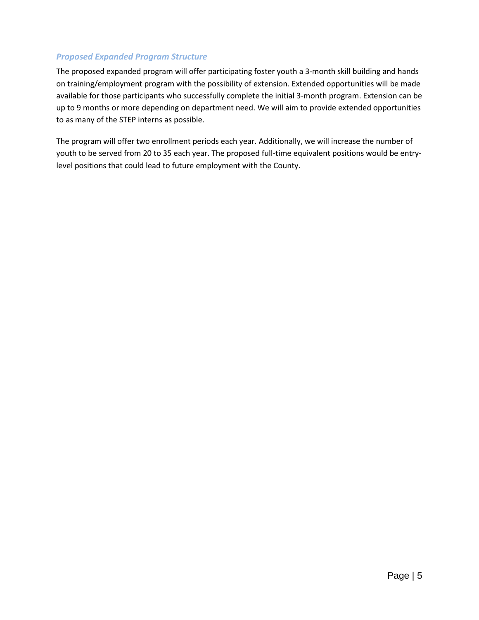### *Proposed Expanded Program Structure*

The proposed expanded program will offer participating foster youth a 3-month skill building and hands on training/employment program with the possibility of extension. Extended opportunities will be made available for those participants who successfully complete the initial 3-month program. Extension can be up to 9 months or more depending on department need. We will aim to provide extended opportunities to as many of the STEP interns as possible.

The program will offer two enrollment periods each year. Additionally, we will increase the number of youth to be served from 20 to 35 each year. The proposed full-time equivalent positions would be entrylevel positions that could lead to future employment with the County.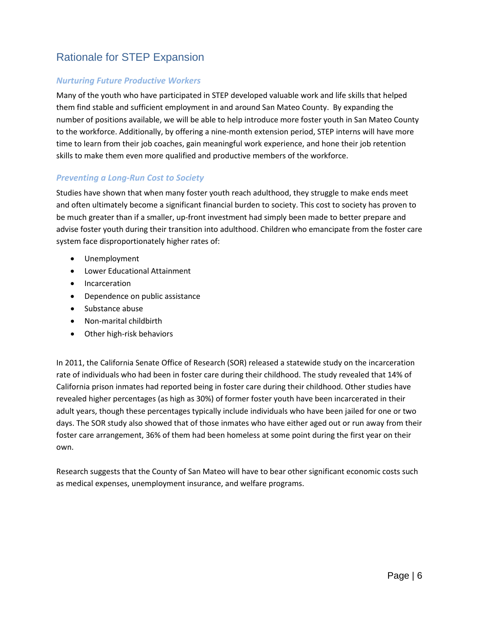# Rationale for STEP Expansion

### *Nurturing Future Productive Workers*

Many of the youth who have participated in STEP developed valuable work and life skills that helped them find stable and sufficient employment in and around San Mateo County. By expanding the number of positions available, we will be able to help introduce more foster youth in San Mateo County to the workforce. Additionally, by offering a nine-month extension period, STEP interns will have more time to learn from their job coaches, gain meaningful work experience, and hone their job retention skills to make them even more qualified and productive members of the workforce.

### *Preventing a Long-Run Cost to Society*

Studies have shown that when many foster youth reach adulthood, they struggle to make ends meet and often ultimately become a significant financial burden to society. This cost to society has proven to be much greater than if a smaller, up-front investment had simply been made to better prepare and advise foster youth during their transition into adulthood. Children who emancipate from the foster care system face disproportionately higher rates of:

- Unemployment
- Lower Educational Attainment
- Incarceration
- Dependence on public assistance
- Substance abuse
- Non-marital childbirth
- Other high-risk behaviors

In 2011, the California Senate Office of Research (SOR) released a statewide study on the incarceration rate of individuals who had been in foster care during their childhood. The study revealed that 14% of California prison inmates had reported being in foster care during their childhood. Other studies have revealed higher percentages (as high as 30%) of former foster youth have been incarcerated in their adult years, though these percentages typically include individuals who have been jailed for one or two days. The SOR study also showed that of those inmates who have either aged out or run away from their foster care arrangement, 36% of them had been homeless at some point during the first year on their own.

Research suggests that the County of San Mateo will have to bear other significant economic costs such as medical expenses, unemployment insurance, and welfare programs.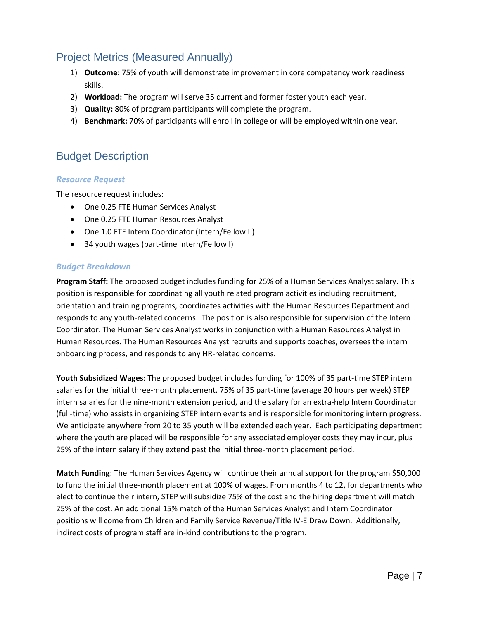### Project Metrics (Measured Annually)

- 1) **Outcome:** 75% of youth will demonstrate improvement in core competency work readiness skills.
- 2) **Workload:** The program will serve 35 current and former foster youth each year.
- 3) **Quality:** 80% of program participants will complete the program.
- 4) **Benchmark:** 70% of participants will enroll in college or will be employed within one year.

### Budget Description

#### *Resource Request*

The resource request includes:

- One 0.25 FTE Human Services Analyst
- One 0.25 FTE Human Resources Analyst
- One 1.0 FTE Intern Coordinator (Intern/Fellow II)
- 34 youth wages (part-time Intern/Fellow I)

#### *Budget Breakdown*

**Program Staff:** The proposed budget includes funding for 25% of a Human Services Analyst salary. This position is responsible for coordinating all youth related program activities including recruitment, orientation and training programs, coordinates activities with the Human Resources Department and responds to any youth-related concerns. The position is also responsible for supervision of the Intern Coordinator. The Human Services Analyst works in conjunction with a Human Resources Analyst in Human Resources. The Human Resources Analyst recruits and supports coaches, oversees the intern onboarding process, and responds to any HR-related concerns.

**Youth Subsidized Wages**: The proposed budget includes funding for 100% of 35 part-time STEP intern salaries for the initial three-month placement, 75% of 35 part-time (average 20 hours per week) STEP intern salaries for the nine-month extension period, and the salary for an extra-help Intern Coordinator (full-time) who assists in organizing STEP intern events and is responsible for monitoring intern progress. We anticipate anywhere from 20 to 35 youth will be extended each year. Each participating department where the youth are placed will be responsible for any associated employer costs they may incur, plus 25% of the intern salary if they extend past the initial three-month placement period.

**Match Funding**: The Human Services Agency will continue their annual support for the program \$50,000 to fund the initial three-month placement at 100% of wages. From months 4 to 12, for departments who elect to continue their intern, STEP will subsidize 75% of the cost and the hiring department will match 25% of the cost. An additional 15% match of the Human Services Analyst and Intern Coordinator positions will come from Children and Family Service Revenue/Title IV-E Draw Down. Additionally, indirect costs of program staff are in-kind contributions to the program.